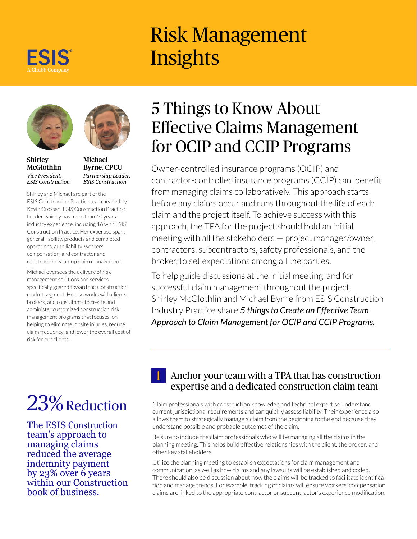

# Risk Management **Insights**





Michael Byrne, CPCU *Partnership Leader, ESIS Construction*

Shirley and Michael are part of the ESIS Construction Practice team headed by Kevin Crossan, ESIS Construction Practice Leader. Shirley has more than 40 years industry experience, including 16 with ESIS' Construction Practice. Her expertise spans general liability, products and completed operations, auto liability, workers compensation, and contractor and construction wrap-up claim management.

Michael oversees the delivery of risk management solutions and services specifically geared toward the Construction market segment. He also works with clients, brokers, and consultants to create and administer customized construction risk management programs that focuses on helping to eliminate jobsite injuries, reduce claim frequency, and lower the overall cost of risk for our clients.

# 23% Reduction

The ESIS Construction team's approach to managing claims reduced the average indemnity payment by 23% over 6 years within our Construction book of business.

# 5 Things to Know About Effective Claims Management for OCIP and CCIP Programs

Owner-controlled insurance programs (OCIP) and contractor-controlled insurance programs (CCIP) can benefit from managing claims collaboratively. This approach starts before any claims occur and runs throughout the life of each claim and the project itself. To achieve success with this approach, the TPA for the project should hold an initial meeting with all the stakeholders — project manager/owner, contractors, subcontractors, safety professionals, and the broker, to set expectations among all the parties.

To help guide discussions at the initial meeting, and for successful claim management throughout the project, Shirley McGlothlin and Michael Byrne from ESIS Construction Industry Practice share *5 things to Create an Effective Team Approach to Claim Management for OCIP and CCIP Programs.*

#### 1 Anchor your team with a TPA that has construction expertise and a dedicated construction claim team

Claim professionals with construction knowledge and technical expertise understand current jurisdictional requirements and can quickly assess liability. Their experience also allows them to strategically manage a claim from the beginning to the end because they understand possible and probable outcomes of the claim.

Be sure to include the claim professionals who will be managing all the claims in the planning meeting. This helps build effective relationships with the client, the broker, and other key stakeholders.

Utilize the planning meeting to establish expectations for claim management and communication, as well as how claims and any lawsuits will be established and coded. There should also be discussion about how the claims will be tracked to facilitate identification and manage trends. For example, tracking of claims will ensure workers' compensation claims are linked to the appropriate contractor or subcontractor's experience modification.